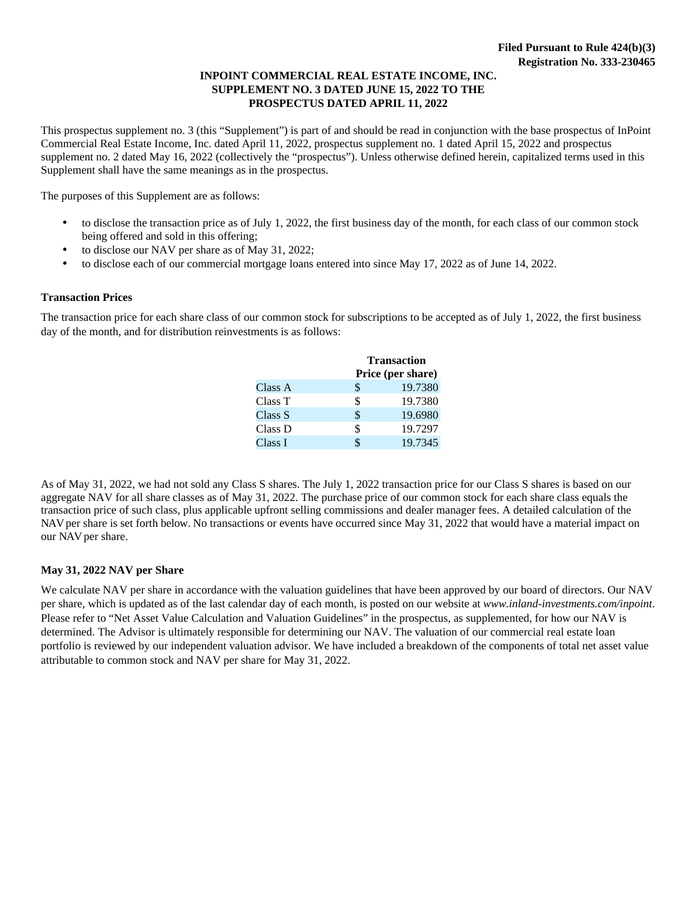## **INPOINT COMMERCIAL REAL ESTATE INCOME, INC. SUPPLEMENT NO. 3 DATED JUNE 15, 2022 TO THE PROSPECTUS DATED APRIL 11, 2022**

This prospectus supplement no. 3 (this "Supplement") is part of and should be read in conjunction with the base prospectus of InPoint Commercial Real Estate Income, Inc. dated April 11, 2022, prospectus supplement no. 1 dated April 15, 2022 and prospectus supplement no. 2 dated May 16, 2022 (collectively the "prospectus"). Unless otherwise defined herein, capitalized terms used in this Supplement shall have the same meanings as in the prospectus.

The purposes of this Supplement are as follows:

- to disclose the transaction price as of July 1, 2022, the first business day of the month, for each class of our common stock being offered and sold in this offering;
- to disclose our NAV per share as of May 31, 2022;
- to disclose each of our commercial mortgage loans entered into since May 17, 2022 as of June 14, 2022.

## **Transaction Prices**

The transaction price for each share class of our common stock for subscriptions to be accepted as of July 1, 2022, the first business day of the month, and for distribution reinvestments is as follows:

|         | <b>Transaction</b><br>Price (per share) |         |  |  |  |  |  |
|---------|-----------------------------------------|---------|--|--|--|--|--|
| Class A | \$                                      | 19.7380 |  |  |  |  |  |
| Class T | \$                                      | 19.7380 |  |  |  |  |  |
| Class S | \$                                      | 19.6980 |  |  |  |  |  |
| Class D | \$                                      | 19.7297 |  |  |  |  |  |
| Class I | \$                                      | 19.7345 |  |  |  |  |  |

As of May 31, 2022, we had not sold any Class S shares. The July 1, 2022 transaction price for our Class S shares is based on our aggregate NAV for all share classes as of May 31, 2022. The purchase price of our common stock for each share class equals the transaction price of such class, plus applicable upfront selling commissions and dealer manager fees. A detailed calculation of the NAV per share is set forth below. No transactions or events have occurred since May 31, 2022 that would have a material impact on our NAV per share.

## **May 31, 2022 NAV per Share**

We calculate NAV per share in accordance with the valuation guidelines that have been approved by our board of directors. Our NAV per share, which is updated as of the last calendar day of each month, is posted on our website at *[www.inland-investments.com/inpoint](https://inland-investments.com/inpoint)*. Please refer to "Net Asset Value Calculation and Valuation Guidelines" in the prospectus, as supplemented, for how our NAV is determined. The Advisor is ultimately responsible for determining our NAV. The valuation of our commercial real estate loan portfolio is reviewed by our independent valuation advisor. We have included a breakdown of the components of total net asset value attributable to common stock and NAV per share for May 31, 2022.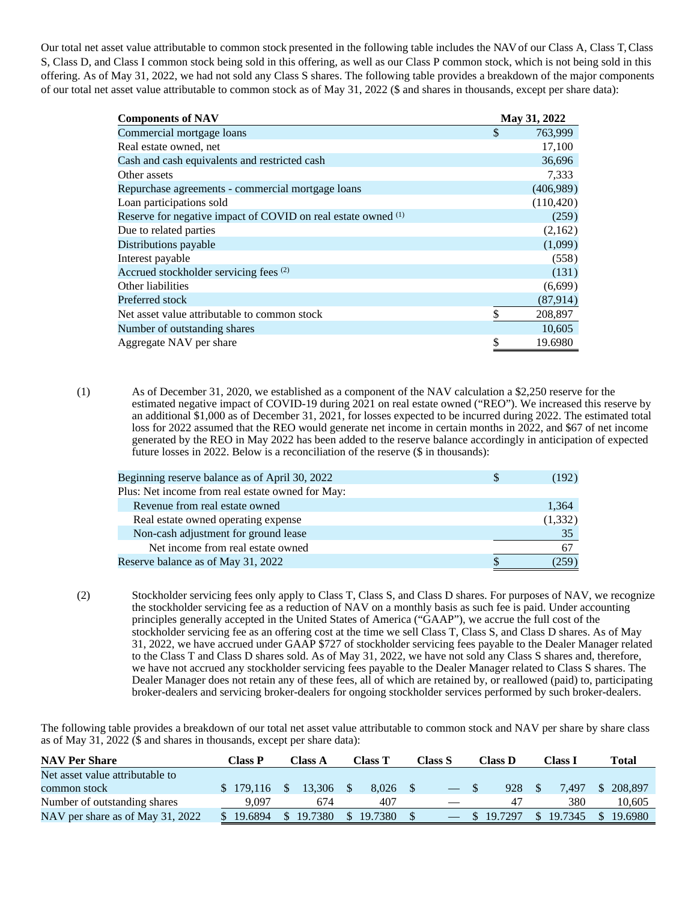Our total net asset value attributable to common stock presented in the following table includes the NAV of our Class A, Class T, Class S, Class D, and Class I common stock being sold in this offering, as well as our Class P common stock, which is not being sold in this offering. As of May 31, 2022, we had not sold any Class S shares. The following table provides a breakdown of the major components of our total net asset value attributable to common stock as of May 31, 2022 (\$ and shares in thousands, except per share data):

| <b>Components of NAV</b>                                      | May 31, 2022  |
|---------------------------------------------------------------|---------------|
| Commercial mortgage loans                                     | \$<br>763,999 |
| Real estate owned, net                                        | 17,100        |
| Cash and cash equivalents and restricted cash                 | 36,696        |
| Other assets                                                  | 7,333         |
| Repurchase agreements - commercial mortgage loans             | (406,989)     |
| Loan participations sold                                      | (110, 420)    |
| Reserve for negative impact of COVID on real estate owned (1) | (259)         |
| Due to related parties                                        | (2,162)       |
| Distributions payable                                         | (1,099)       |
| Interest payable                                              | (558)         |
| Accrued stockholder servicing fees (2)                        | (131)         |
| Other liabilities                                             | (6,699)       |
| Preferred stock                                               | (87, 914)     |
| Net asset value attributable to common stock                  | \$<br>208,897 |
| Number of outstanding shares                                  | 10,605        |
| Aggregate NAV per share                                       | \$<br>19.6980 |

(1) As of December 31, 2020, we established as a component of the NAV calculation a \$2,250 reserve for the estimated negative impact of COVID-19 during 2021 on real estate owned ("REO"). We increased this reserve by an additional \$1,000 as of December 31, 2021, for losses expected to be incurred during 2022. The estimated total loss for 2022 assumed that the REO would generate net income in certain months in 2022, and \$67 of net income generated by the REO in May 2022 has been added to the reserve balance accordingly in anticipation of expected future losses in 2022. Below is a reconciliation of the reserve (\$ in thousands):

| Beginning reserve balance as of April 30, 2022   | (192)    |
|--------------------------------------------------|----------|
| Plus: Net income from real estate owned for May: |          |
| Revenue from real estate owned                   | 1,364    |
| Real estate owned operating expense              | (1, 332) |
| Non-cash adjustment for ground lease             | 35       |
| Net income from real estate owned                | 67       |
| Reserve balance as of May 31, 2022               | (259)    |
|                                                  |          |

(2) Stockholder servicing fees only apply to Class T, Class S, and Class D shares. For purposes of NAV, we recognize the stockholder servicing fee as a reduction of NAV on a monthly basis as such fee is paid. Under accounting principles generally accepted in the United States of America ("GAAP"), we accrue the full cost of the stockholder servicing fee as an offering cost at the time we sell Class T, Class S, and Class D shares. As of May 31, 2022, we have accrued under GAAP \$727 of stockholder servicing fees payable to the Dealer Manager related to the Class T and Class D shares sold. As of May 31, 2022, we have not sold any Class S shares and, therefore, we have not accrued any stockholder servicing fees payable to the Dealer Manager related to Class S shares. The Dealer Manager does not retain any of these fees, all of which are retained by, or reallowed (paid) to, participating broker-dealers and servicing broker-dealers for ongoing stockholder services performed by such broker-dealers.

The following table provides a breakdown of our total net asset value attributable to common stock and NAV per share by share class as of May 31, 2022 (\$ and shares in thousands, except per share data):

| <b>NAV Per Share</b>             | Class P                   |          | Class A | Class T   | Class S | Class D |           | <b>Class 1</b> |         | <b>Total</b>  |         |
|----------------------------------|---------------------------|----------|---------|-----------|---------|---------|-----------|----------------|---------|---------------|---------|
| Net asset value attributable to  |                           |          |         |           |         |         |           |                |         |               |         |
| common stock                     | \$179,116                 | $\sim$ S | 13.306  | 8.026     |         |         | 928       |                | 7.497   | - S           | 208,897 |
| Number of outstanding shares     | 9.097                     |          | 674     | 407       |         |         | -47       |                | 380     |               | 10.605  |
| NAV per share as of May 31, 2022 | $\mathbb{S}^-$<br>19.6894 | S.       | 19.7380 | \$19.7380 |         |         | \$19.7297 |                | 19.7345 | <sup>\$</sup> | 19.6980 |